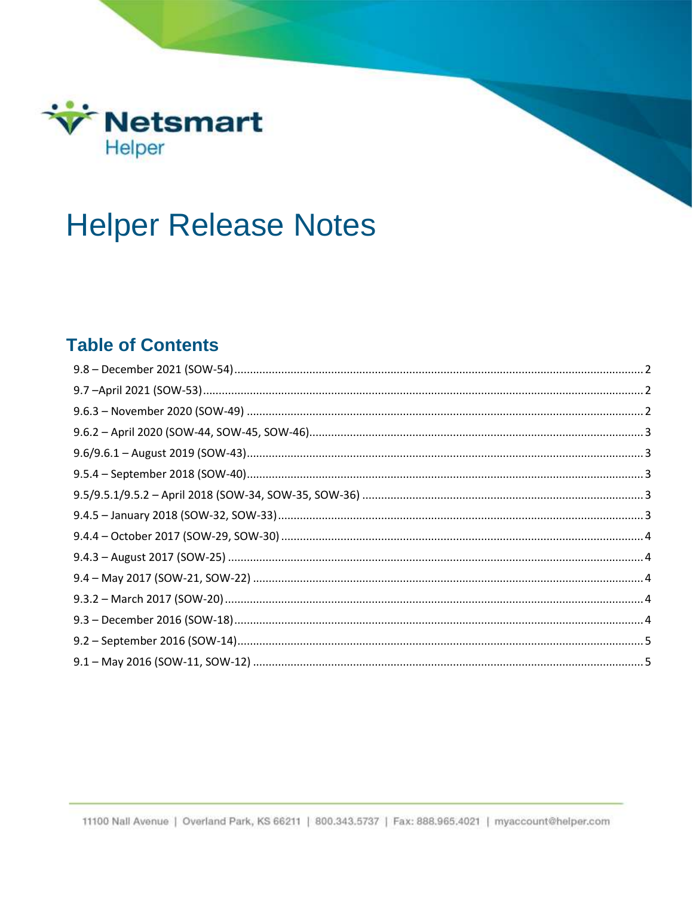

# **Helper Release Notes**

# **Table of Contents**

11100 Nall Avenue | Overland Park, KS 66211 | 800.343.5737 | Fax: 888.965.4021 | myaccount@helper.com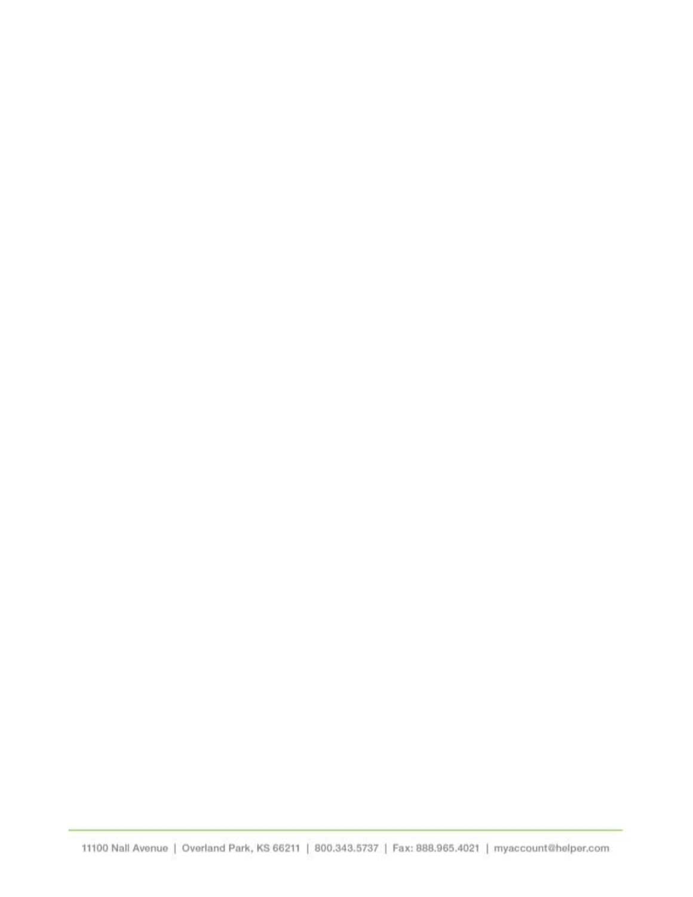11100 Nall Avenue | Overland Park, KS 66211 | 800.343.5737 | Fax: 888.965.4021 | myaccount@helper.com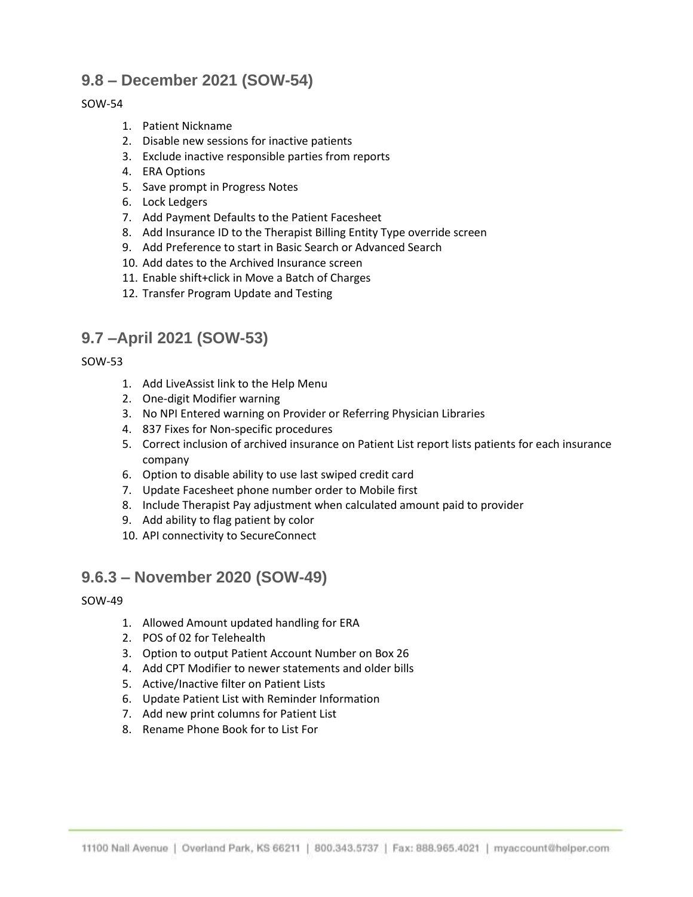# <span id="page-2-0"></span>**9.8 – December 2021 (SOW-54)**

#### SOW-54

- 1. Patient Nickname
- 2. Disable new sessions for inactive patients
- 3. Exclude inactive responsible parties from reports
- 4. ERA Options
- 5. Save prompt in Progress Notes
- 6. Lock Ledgers
- 7. Add Payment Defaults to the Patient Facesheet
- 8. Add Insurance ID to the Therapist Billing Entity Type override screen
- 9. Add Preference to start in Basic Search or Advanced Search
- 10. Add dates to the Archived Insurance screen
- 11. Enable shift+click in Move a Batch of Charges
- 12. Transfer Program Update and Testing

# <span id="page-2-1"></span>**9.7 –April 2021 (SOW-53)**

SOW-53

- 1. Add LiveAssist link to the Help Menu
- 2. One-digit Modifier warning
- 3. No NPI Entered warning on Provider or Referring Physician Libraries
- 4. 837 Fixes for Non-specific procedures
- 5. Correct inclusion of archived insurance on Patient List report lists patients for each insurance company
- 6. Option to disable ability to use last swiped credit card
- 7. Update Facesheet phone number order to Mobile first
- 8. Include Therapist Pay adjustment when calculated amount paid to provider
- 9. Add ability to flag patient by color
- 10. API connectivity to SecureConnect

# <span id="page-2-2"></span>**9.6.3 – November 2020 (SOW-49)**

SOW-49

- 1. Allowed Amount updated handling for ERA
- 2. POS of 02 for Telehealth
- 3. Option to output Patient Account Number on Box 26
- 4. Add CPT Modifier to newer statements and older bills
- 5. Active/Inactive filter on Patient Lists
- 6. Update Patient List with Reminder Information
- 7. Add new print columns for Patient List
- 8. Rename Phone Book for to List For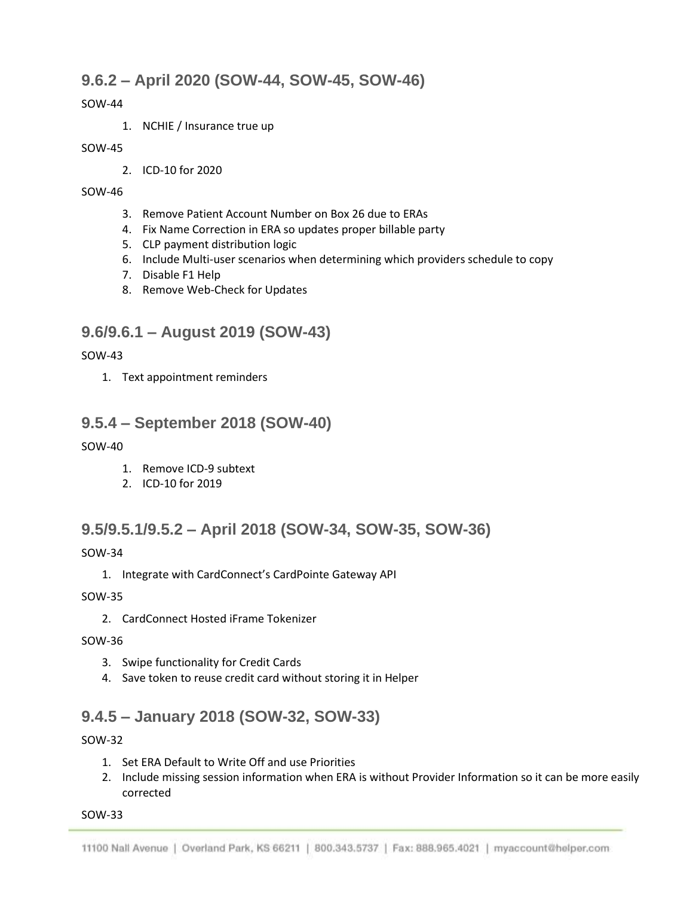# <span id="page-3-0"></span>**9.6.2 – April 2020 (SOW-44, SOW-45, SOW-46)**

### SOW-44

1. NCHIE / Insurance true up

### SOW-45

2. ICD-10 for 2020

### SOW-46

- 3. Remove Patient Account Number on Box 26 due to ERAs
- 4. Fix Name Correction in ERA so updates proper billable party
- 5. CLP payment distribution logic
- 6. Include Multi-user scenarios when determining which providers schedule to copy
- 7. Disable F1 Help
- 8. Remove Web-Check for Updates

# <span id="page-3-1"></span>**9.6/9.6.1 – August 2019 (SOW-43)**

### SOW-43

1. Text appointment reminders

# <span id="page-3-2"></span>**9.5.4 – September 2018 (SOW-40)**

### SOW-40

- 1. Remove ICD-9 subtext
- 2. ICD-10 for 2019

# <span id="page-3-3"></span>**9.5/9.5.1/9.5.2 – April 2018 (SOW-34, SOW-35, SOW-36)**

### SOW-34

1. Integrate with CardConnect's CardPointe Gateway API

### SOW-35

2. CardConnect Hosted iFrame Tokenizer

### SOW-36

- 3. Swipe functionality for Credit Cards
- 4. Save token to reuse credit card without storing it in Helper

# <span id="page-3-4"></span>**9.4.5 – January 2018 (SOW-32, SOW-33)**

### SOW-32

- 1. Set ERA Default to Write Off and use Priorities
- 2. Include missing session information when ERA is without Provider Information so it can be more easily corrected

#### SOW-33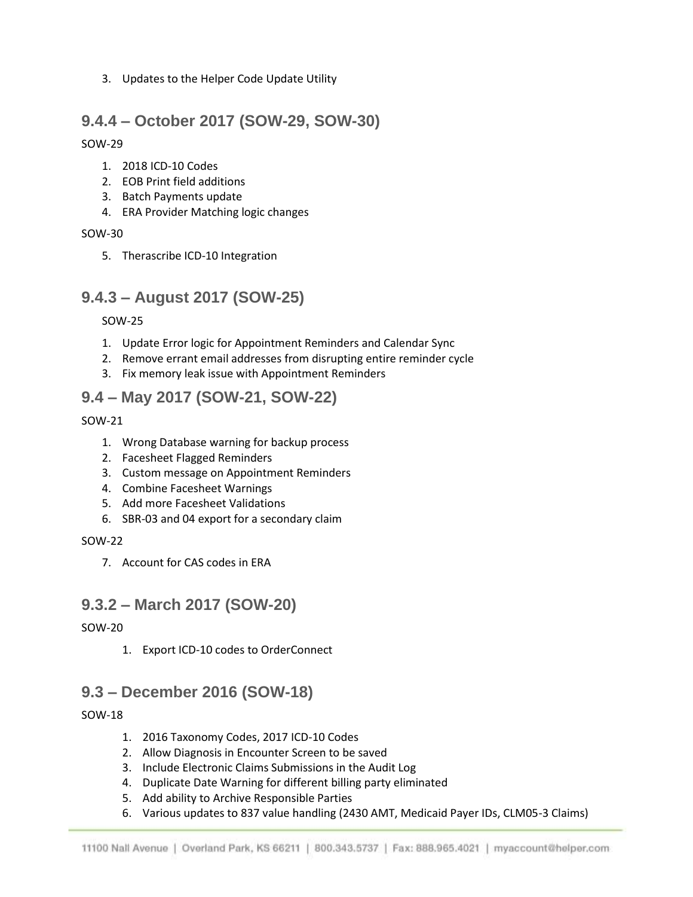3. Updates to the Helper Code Update Utility

# <span id="page-4-0"></span>**9.4.4 – October 2017 (SOW-29, SOW-30)**

#### SOW-29

- 1. 2018 ICD-10 Codes
- 2. EOB Print field additions
- 3. Batch Payments update
- 4. ERA Provider Matching logic changes

### SOW-30

5. Therascribe ICD-10 Integration

# <span id="page-4-1"></span>**9.4.3 – August 2017 (SOW-25)**

### SOW-25

- 1. Update Error logic for Appointment Reminders and Calendar Sync
- 2. Remove errant email addresses from disrupting entire reminder cycle
- 3. Fix memory leak issue with Appointment Reminders

# <span id="page-4-2"></span>**9.4 – May 2017 (SOW-21, SOW-22)**

### SOW-21

- 1. Wrong Database warning for backup process
- 2. Facesheet Flagged Reminders
- 3. Custom message on Appointment Reminders
- 4. Combine Facesheet Warnings
- 5. Add more Facesheet Validations
- 6. SBR-03 and 04 export for a secondary claim

### SOW-22

7. Account for CAS codes in ERA

# <span id="page-4-3"></span>**9.3.2 – March 2017 (SOW-20)**

### SOW-20

1. Export ICD-10 codes to OrderConnect

# <span id="page-4-4"></span>**9.3 – December 2016 (SOW-18)**

### SOW-18

- 1. 2016 Taxonomy Codes, 2017 ICD-10 Codes
- 2. Allow Diagnosis in Encounter Screen to be saved
- 3. Include Electronic Claims Submissions in the Audit Log
- 4. Duplicate Date Warning for different billing party eliminated
- 5. Add ability to Archive Responsible Parties
- 6. Various updates to 837 value handling (2430 AMT, Medicaid Payer IDs, CLM05-3 Claims)